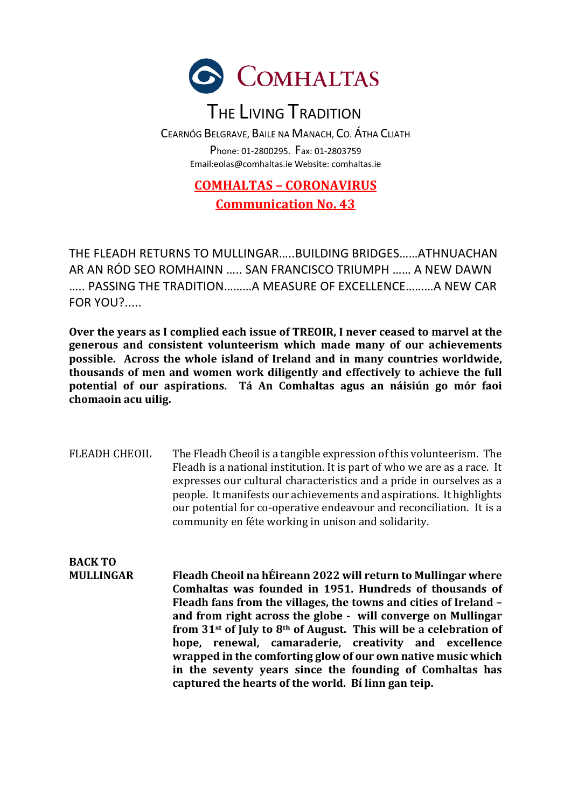

## THE LIVING TRADITION

CEARNÓG BELGRAVE, BAILE NA MANACH, CO. ÁTHA CLIATH Phone: 01-2800295. Fax: 01-2803759 Email:eolas@comhaltas.ie Website: comhaltas.ie

#### **COMHALTAS – CORONAVIRUS Communication No. 43**

THE FLEADH RETURNS TO MULLINGAR…..BUILDING BRIDGES……ATHNUACHAN AR AN RÓD SEO ROMHAINN ….. SAN FRANCISCO TRIUMPH …… A NEW DAWN ….. PASSING THE TRADITION………A MEASURE OF EXCELLENCE………A NEW CAR FOR YOU?.....

Over the years as I complied each issue of TREOIR, I never ceased to marvel at the generous and consistent volunteerism which made many of our achievements possible. Across the whole island of Ireland and in many countries worldwide, thousands of men and women work diligently and effectively to achieve the full potential of our aspirations. Tá An Comhaltas agus an náisiún go mór faoi chomaoin acu uilig.

FLEADH CHEOIL The Fleadh Cheoil is a tangible expression of this volunteerism. The Fleadh is a national institution. It is part of who we are as a race. It expresses our cultural characteristics and a pride in ourselves as a people. It manifests our achievements and aspirations. It highlights our potential for co-operative endeavour and reconciliation. It is a community en féte working in unison and solidarity.

**BACK TO MULLINGAR** Fleadh Cheoil na hÉireann 2022 will return to Mullingar where Comhaltas was founded in 1951. Hundreds of thousands of Fleadh fans from the villages, the towns and cities of Ireland – and from right across the globe - will converge on Mullingar from 31<sup>st</sup> of July to 8<sup>th</sup> of August. This will be a celebration of hope, renewal, camaraderie, creativity and excellence **wrapped in the comforting glow of our own native music which in the seventy vears since the founding of Comhaltas has** captured the hearts of the world. Bi linn gan teip.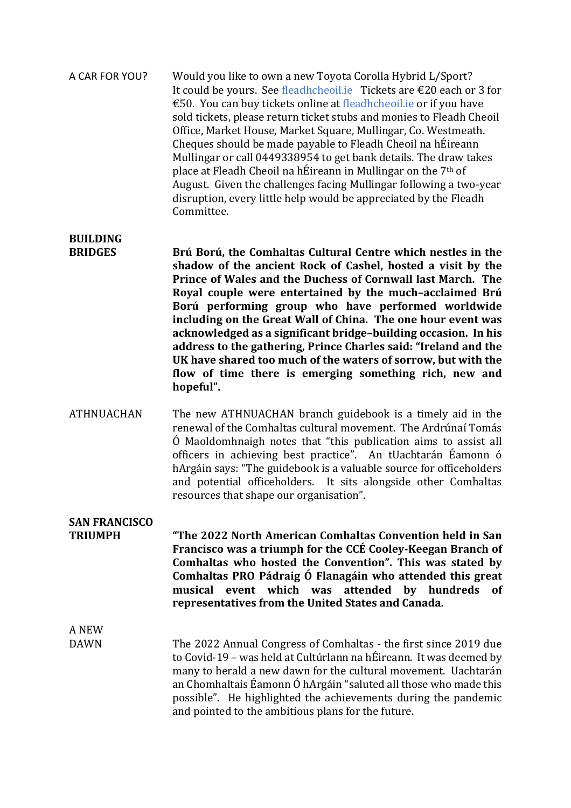A CAR FOR YOU? Would you like to own a new Toyota Corolla Hybrid L/Sport? It could be yours. See fleadhcheoil.ie Tickets are  $\epsilon$ 20 each or 3 for €50. You can buy tickets online at fleadhcheoil.ie or if you have sold tickets, please return ticket stubs and monies to Fleadh Cheoil Office, Market House, Market Square, Mullingar, Co. Westmeath. Cheques should be made payable to Fleadh Cheoil na hÉireann Mullingar or call 0449338954 to get bank details. The draw takes place at Fleadh Cheoil na hÉireann in Mullingar on the  $7<sup>th</sup>$  of August. Given the challenges facing Mullingar following a two-year disruption, every little help would be appreciated by the Fleadh Committee. 

### **BUILDING**

**BRIDGES** Brú Ború, the Comhaltas Cultural Centre which nestles in the shadow of the ancient Rock of Cashel, hosted a visit by the **Prince of Wales and the Duchess of Cornwall last March. The** Royal couple were entertained by the much-acclaimed Brú **Ború performing group who have performed worldwide**  including on the Great Wall of China. The one hour event was acknowledged as a significant bridge-building occasion. In his address to the gathering, Prince Charles said: "Ireland and the UK have shared too much of the waters of sorrow, but with the flow of time there is emerging something rich, new and hopeful".

ATHNUACHAN The new ATHNUACHAN branch guidebook is a timely aid in the renewal of the Comhaltas cultural movement. The Ardrúnaí Tomás  $\acute{0}$  Maoldomhnaigh notes that "this publication aims to assist all officers in achieving best practice". An tUachtarán Éamonn ó hArgáin says: "The guidebook is a valuable source for officeholders and potential officeholders. It sits alongside other Comhaltas resources that shape our organisation".

#### **SAN FRANCISCO**

**TRIUMPH "The 2022 North American Comhaltas Convention held in San Francisco was a triumph for the CCÉ Cooley-Keegan Branch of** Comhaltas who hosted the Convention". This was stated by **Comhaltas PRO Pádraig Ó Flanagáin who attended this great musical event which was attended by hundreds of**  representatives from the United States and Canada.

A NEW 

DAWN The 2022 Annual Congress of Comhaltas - the first since 2019 due to Covid-19 – was held at Cultúrlann na hÉireann. It was deemed by many to herald a new dawn for the cultural movement. Uachtarán an Chomhaltais Éamonn Ó hArgáin "saluted all those who made this possible". He highlighted the achievements during the pandemic and pointed to the ambitious plans for the future.